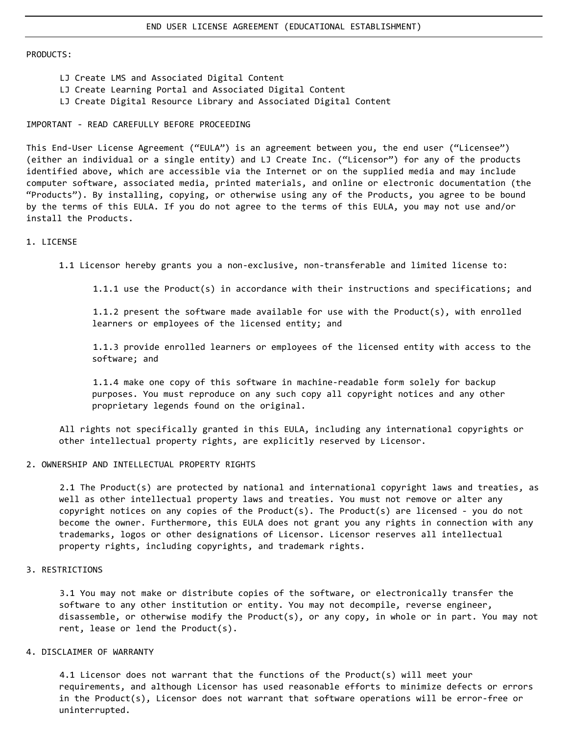#### PRODUCTS:

- LJ Create LMS and Associated Digital Content
- LJ Create Learning Portal and Associated Digital Content
- LJ Create Digital Resource Library and Associated Digital Content

### IMPORTANT - READ CAREFULLY BEFORE PROCEEDING

This End-User License Agreement ("EULA") is an agreement between you, the end user ("Licensee") (either an individual or a single entity) and LJ Create Inc. ("Licensor") for any of the products identified above, which are accessible via the Internet or on the supplied media and may include computer software, associated media, printed materials, and online or electronic documentation (the "Products"). By installing, copying, or otherwise using any of the Products, you agree to be bound by the terms of this EULA. If you do not agree to the terms of this EULA, you may not use and/or install the Products.

### 1. LICENSE

1.1 Licensor hereby grants you a non-exclusive, non-transferable and limited license to:

1.1.1 use the Product(s) in accordance with their instructions and specifications; and

1.1.2 present the software made available for use with the Product(s), with enrolled learners or employees of the licensed entity; and

1.1.3 provide enrolled learners or employees of the licensed entity with access to the software; and

1.1.4 make one copy of this software in machine-readable form solely for backup purposes. You must reproduce on any such copy all copyright notices and any other proprietary legends found on the original.

All rights not specifically granted in this EULA, including any international copyrights or other intellectual property rights, are explicitly reserved by Licensor.

## 2. OWNERSHIP AND INTELLECTUAL PROPERTY RIGHTS

2.1 The Product(s) are protected by national and international copyright laws and treaties, as well as other intellectual property laws and treaties. You must not remove or alter any copyright notices on any copies of the Product(s). The Product(s) are licensed - you do not become the owner. Furthermore, this EULA does not grant you any rights in connection with any trademarks, logos or other designations of Licensor. Licensor reserves all intellectual property rights, including copyrights, and trademark rights.

## 3. RESTRICTIONS

3.1 You may not make or distribute copies of the software, or electronically transfer the software to any other institution or entity. You may not decompile, reverse engineer, disassemble, or otherwise modify the Product(s), or any copy, in whole or in part. You may not rent, lease or lend the Product(s).

## 4. DISCLAIMER OF WARRANTY

4.1 Licensor does not warrant that the functions of the Product(s) will meet your requirements, and although Licensor has used reasonable efforts to minimize defects or errors in the Product(s), Licensor does not warrant that software operations will be error-free or uninterrupted.